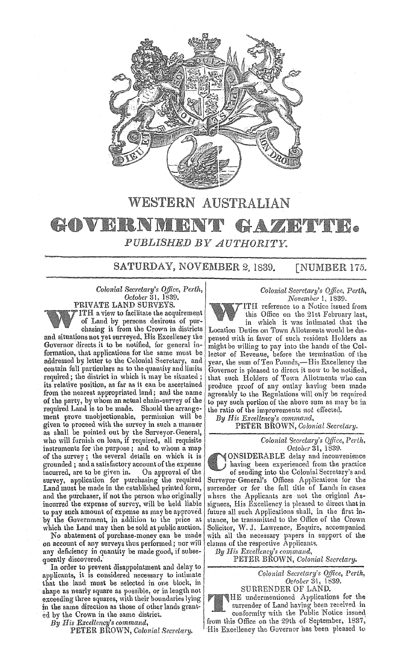

## WESTERN AUSTRALIAN

## GOVERNM **•** PUBLISHED BY AUTHORITY.

SATURDAY, NOVEMBER 2, 1839. [NUMBER 175.

*Colonial Secretary's Office, Perth, October* 31, 1839. PRIVATE LAND SURVEYS. ITH a view to facilitate the acquirement of Land by persons desirous of pur-

chasing it from the Crown in districts and situations not yet surveyed. His Excellency the<br>Governor directs it to be notified, for general information, that applications for the same must be addressed by letter to the Colonial Secretary, and contain full particulars as to the quantity and limits required; the district in which it may be situated; its relative position, as far as it can be ascertained from the nearest appropriated land; and the name of the party, by whom an actual chain-survey of the required Land is to be made. Should the arrangement prove unobjectionable, permission will be given to proceed with the survey in such a manner as shall be pointed out by the Surveyor-General, who will furnish on loan, if required, all requisite instruments for the purpose; and to whom a map of the survey; the several details on which it is grounded; and a satisfactory account of the expense incurred, are to be given in. survey, application for purchasing the required Land must be made in the established printed form, and the purchaser, if not the person who originally incurred the expense of survey, will be held liable to pay such amount of expense as may be approved by the Government, in addition to the price at which the Land may then be sold at public auction.

No abatement of purchase-monev can be made on account of any surveys thus performed; nor will any deficiency in quantity be made good, if subsequently discovered.

In order to prevent disappointment and delay to applicants, it is considered necessary to intimate that the land must be selected in one block, in shape as nearly square as possible, or in length not exceeding three squares, with their boundaries lying in the same direction as those of other lands grant-<br>ed by the Crown in the same district.

*By His Excellency's command,* 

PETER BROWN, *Colonial Secretary*.

## *Colonial Secretary's Office, Perth, November* 1, 1839.

ITH reference to a Notice issued from this Office on the 21st February last, in which it was intimated that the

Location Duties on Town Allotments would be dispensed with in favor of such resident Holders as might be willing to pay into the hands of the Col. lector of Revenue, before the termination of the year, the sum of Ten Pounds,-His Excellency the Governor is pleased to direct it now to be notified, that such Holders of 'fown Allotments who can produce proof of any outlay having been made agreeably to the Regulations will only be required to pay such portion of the above sum as may be in the ratio of the improvements *not* effected.

*By His Excellency's command,* PETER BROWN, *Colonial Secretary*.

> *Colonial Secretary's Qffice, Per/h. October* 31, 1839.

ONSIDERABLE delay and inconvenience having been experienced from the practice

of sending into the Colonial Secretary's and Surveyor· General's Offices Applications for the surrender or for the full title of Lands in cases where the Applicants are not the original Assignees, His Excellency is pleased to direct that in future all such Applications shall, in the first in stance, be transmitted to the Office of the Crown Solicitor, W. J. Lawrence, Esquire, accompanied with all the necessary papers in support of the claims of the respective Applicants.

*By His Excellency's command,* 

PETER BROWN, *Colonial Secretary.* 

Colonial Secretary's Office, Perth, *Oc!ober* 

SURRENDER OF LAND. HE undermentioned Applications for the surrender of Land having been received in conformity with the Public Notice issued from this Office on the 29th of. September, 1837, His Excellency the Governor has been pleased to